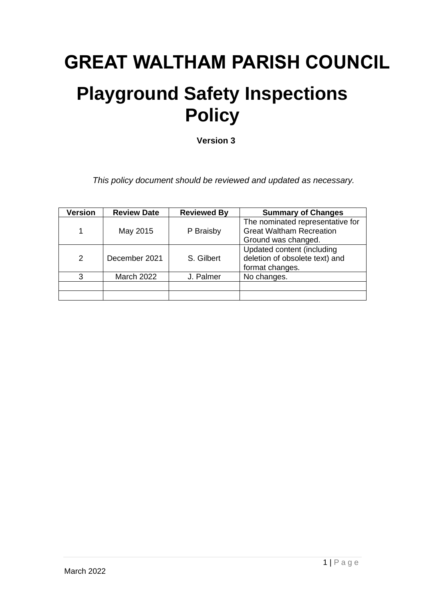## **GREAT WALTHAM PARISH COUNCIL**

## **Playground Safety Inspections Policy**

**Version 3**

*This policy document should be reviewed and updated as necessary.*

| <b>Version</b> | <b>Review Date</b> | <b>Reviewed By</b> | <b>Summary of Changes</b>                                                                  |
|----------------|--------------------|--------------------|--------------------------------------------------------------------------------------------|
|                | May 2015           | P Braisby          | The nominated representative for<br><b>Great Waltham Recreation</b><br>Ground was changed. |
| 2              | December 2021      | S. Gilbert         | Updated content (including<br>deletion of obsolete text) and<br>format changes.            |
| З              | <b>March 2022</b>  | J. Palmer          | No changes.                                                                                |
|                |                    |                    |                                                                                            |
|                |                    |                    |                                                                                            |